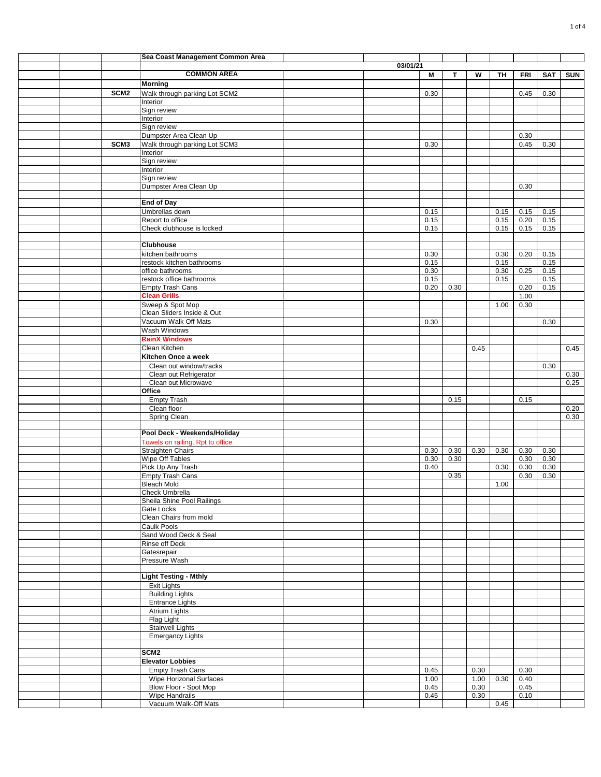|  |                  | Sea Coast Management Common Area                                 |          |              |      |              |              |              |              |            |
|--|------------------|------------------------------------------------------------------|----------|--------------|------|--------------|--------------|--------------|--------------|------------|
|  |                  |                                                                  | 03/01/21 |              |      |              |              |              |              |            |
|  |                  | <b>COMMON AREA</b>                                               |          | М            | T.   | W            | TH           | <b>FRI</b>   | <b>SAT</b>   | <b>SUN</b> |
|  |                  | <b>Morning</b>                                                   |          |              |      |              |              |              |              |            |
|  | SCM <sub>2</sub> | Walk through parking Lot SCM2                                    |          | 0.30         |      |              |              | 0.45         | 0.30         |            |
|  |                  | Interior                                                         |          |              |      |              |              |              |              |            |
|  |                  | Sign review                                                      |          |              |      |              |              |              |              |            |
|  |                  | Interior                                                         |          |              |      |              |              |              |              |            |
|  |                  | Sign review                                                      |          |              |      |              |              |              |              |            |
|  |                  | Dumpster Area Clean Up                                           |          |              |      |              |              | 0.30         |              |            |
|  | SCM <sub>3</sub> | Walk through parking Lot SCM3                                    |          | 0.30         |      |              |              | 0.45         | 0.30         |            |
|  |                  | Interior<br>Sign review                                          |          |              |      |              |              |              |              |            |
|  |                  | Interior                                                         |          |              |      |              |              |              |              |            |
|  |                  | Sign review                                                      |          |              |      |              |              |              |              |            |
|  |                  | Dumpster Area Clean Up                                           |          |              |      |              |              | 0.30         |              |            |
|  |                  |                                                                  |          |              |      |              |              |              |              |            |
|  |                  | <b>End of Day</b>                                                |          |              |      |              |              |              |              |            |
|  |                  | Umbrellas down                                                   |          | 0.15         |      |              | 0.15         | 0.15         | 0.15         |            |
|  |                  | Report to office                                                 |          | 0.15         |      |              | 0.15         | 0.20         | 0.15         |            |
|  |                  | Check clubhouse is locked                                        |          | 0.15         |      |              | 0.15         | 0.15         | 0.15         |            |
|  |                  |                                                                  |          |              |      |              |              |              |              |            |
|  |                  | <b>Clubhouse</b>                                                 |          |              |      |              |              |              |              |            |
|  |                  | kitchen bathrooms                                                |          | 0.30         |      |              | 0.30         | 0.20         | 0.15         |            |
|  |                  | restock kitchen bathrooms                                        |          | 0.15         |      |              | 0.15         |              | 0.15         |            |
|  |                  | office bathrooms                                                 |          | 0.30         |      |              | 0.30<br>0.15 | 0.25         | 0.15         |            |
|  |                  | restock office bathrooms<br><b>Empty Trash Cans</b>              |          | 0.15<br>0.20 | 0.30 |              |              | 0.20         | 0.15<br>0.15 |            |
|  |                  | <b>Clean Grills</b>                                              |          |              |      |              |              | 1.00         |              |            |
|  |                  | Sweep & Spot Mop                                                 |          |              |      |              | 1.00         | 0.30         |              |            |
|  |                  | Clean Sliders Inside & Out                                       |          |              |      |              |              |              |              |            |
|  |                  | Vacuum Walk Off Mats                                             |          | 0.30         |      |              |              |              | 0.30         |            |
|  |                  | <b>Wash Windows</b>                                              |          |              |      |              |              |              |              |            |
|  |                  | <b>RainX Windows</b>                                             |          |              |      |              |              |              |              |            |
|  |                  | Clean Kitchen                                                    |          |              |      | 0.45         |              |              |              | 0.45       |
|  |                  | Kitchen Once a week                                              |          |              |      |              |              |              |              |            |
|  |                  | Clean out window/tracks                                          |          |              |      |              |              |              | 0.30         |            |
|  |                  | Clean out Refrigerator                                           |          |              |      |              |              |              |              | 0.30       |
|  |                  | Clean out Microwave                                              |          |              |      |              |              |              |              | 0.25       |
|  |                  | Office                                                           |          |              |      |              |              |              |              |            |
|  |                  | <b>Empty Trash</b>                                               |          |              | 0.15 |              |              | 0.15         |              |            |
|  |                  | Clean floor                                                      |          |              |      |              |              |              |              | 0.20       |
|  |                  | Spring Clean                                                     |          |              |      |              |              |              |              | 0.30       |
|  |                  |                                                                  |          |              |      |              |              |              |              |            |
|  |                  | Pool Deck - Weekends/Holiday<br>Towels on railing. Rpt to office |          |              |      |              |              |              |              |            |
|  |                  | <b>Straighten Chairs</b>                                         |          | 0.30         | 0.30 | 0.30         | 0.30         | 0.30         | 0.30         |            |
|  |                  | Wipe Off Tables                                                  |          | 0.30         | 0.30 |              |              | 0.30         | 0.30         |            |
|  |                  | Pick Up Any Trash                                                |          | 0.40         |      |              | 0.30         | 0.30         | 0.30         |            |
|  |                  | <b>Empty Trash Cans</b>                                          |          |              | 0.35 |              |              | 0.30         | 0.30         |            |
|  |                  | <b>Bleach Mold</b>                                               |          |              |      |              | 1.00         |              |              |            |
|  |                  | <b>Check Umbrella</b>                                            |          |              |      |              |              |              |              |            |
|  |                  | Sheila Shine Pool Railings                                       |          |              |      |              |              |              |              |            |
|  |                  | Gate Locks                                                       |          |              |      |              |              |              |              |            |
|  |                  | Clean Chairs from mold                                           |          |              |      |              |              |              |              |            |
|  |                  | Caulk Pools                                                      |          |              |      |              |              |              |              |            |
|  |                  | Sand Wood Deck & Seal                                            |          |              |      |              |              |              |              |            |
|  |                  | <b>Rinse off Deck</b>                                            |          |              |      |              |              |              |              |            |
|  |                  | Gatesrepair<br>Pressure Wash                                     |          |              |      |              |              |              |              |            |
|  |                  |                                                                  |          |              |      |              |              |              |              |            |
|  |                  | <b>Light Testing - Mthly</b>                                     |          |              |      |              |              |              |              |            |
|  |                  | Exit Lights                                                      |          |              |      |              |              |              |              |            |
|  |                  | <b>Building Lights</b>                                           |          |              |      |              |              |              |              |            |
|  |                  | <b>Entrance Lights</b>                                           |          |              |      |              |              |              |              |            |
|  |                  | <b>Atrium Lights</b>                                             |          |              |      |              |              |              |              |            |
|  |                  | Flag Light                                                       |          |              |      |              |              |              |              |            |
|  |                  | <b>Stairwell Lights</b>                                          |          |              |      |              |              |              |              |            |
|  |                  | <b>Emergancy Lights</b>                                          |          |              |      |              |              |              |              |            |
|  |                  |                                                                  |          |              |      |              |              |              |              |            |
|  |                  | SCM <sub>2</sub>                                                 |          |              |      |              |              |              |              |            |
|  |                  | <b>Elevator Lobbies</b>                                          |          |              |      |              |              |              |              |            |
|  |                  | <b>Empty Trash Cans</b>                                          |          | 0.45         |      | 0.30         |              | 0.30         |              |            |
|  |                  | Wipe Horizonal Surfaces                                          |          | 1.00         |      | 1.00<br>0.30 | 0.30         | 0.40<br>0.45 |              |            |
|  |                  | Blow Floor - Spot Mop<br><b>Wipe Handrails</b>                   |          | 0.45<br>0.45 |      | 0.30         |              | 0.10         |              |            |
|  |                  | Vacuum Walk-Off Mats                                             |          |              |      |              | 0.45         |              |              |            |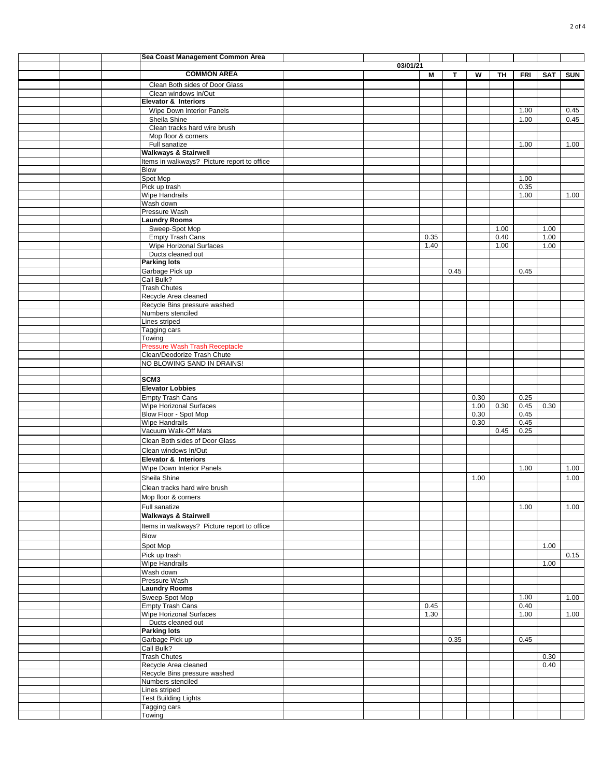|  | Sea Coast Management Common Area                        |          |      |      |      |      |              |            |            |
|--|---------------------------------------------------------|----------|------|------|------|------|--------------|------------|------------|
|  |                                                         | 03/01/21 |      |      |      |      |              |            |            |
|  | <b>COMMON AREA</b>                                      |          | М    | Т    | W    | TН   | <b>FRI</b>   | <b>SAT</b> | <b>SUN</b> |
|  | Clean Both sides of Door Glass                          |          |      |      |      |      |              |            |            |
|  | Clean windows In/Out<br><b>Elevator &amp; Interiors</b> |          |      |      |      |      |              |            |            |
|  | Wipe Down Interior Panels                               |          |      |      |      |      | 1.00         |            | 0.45       |
|  | Sheila Shine                                            |          |      |      |      |      | 1.00         |            | 0.45       |
|  | Clean tracks hard wire brush                            |          |      |      |      |      |              |            |            |
|  | Mop floor & corners                                     |          |      |      |      |      |              |            |            |
|  | Full sanatize<br><b>Walkways &amp; Stairwell</b>        |          |      |      |      |      | 1.00         |            | 1.00       |
|  | Items in walkways? Picture report to office             |          |      |      |      |      |              |            |            |
|  | Blow                                                    |          |      |      |      |      |              |            |            |
|  | Spot Mop                                                |          |      |      |      |      | 1.00         |            |            |
|  | Pick up trash                                           |          |      |      |      |      | 0.35         |            |            |
|  | <b>Wipe Handrails</b>                                   |          |      |      |      |      | 1.00         |            | 1.00       |
|  | Wash down<br>Pressure Wash                              |          |      |      |      |      |              |            |            |
|  | <b>Laundry Rooms</b>                                    |          |      |      |      |      |              |            |            |
|  | Sweep-Spot Mop                                          |          |      |      |      | 1.00 |              | 1.00       |            |
|  | <b>Empty Trash Cans</b>                                 |          | 0.35 |      |      | 0.40 |              | 1.00       |            |
|  | <b>Wipe Horizonal Surfaces</b>                          |          | 1.40 |      |      | 1.00 |              | 1.00       |            |
|  | Ducts cleaned out<br><b>Parking lots</b>                |          |      |      |      |      |              |            |            |
|  | Garbage Pick up                                         |          |      | 0.45 |      |      | 0.45         |            |            |
|  | Call Bulk?                                              |          |      |      |      |      |              |            |            |
|  | <b>Trash Chutes</b>                                     |          |      |      |      |      |              |            |            |
|  | Recycle Area cleaned                                    |          |      |      |      |      |              |            |            |
|  | Recycle Bins pressure washed                            |          |      |      |      |      |              |            |            |
|  | Numbers stenciled<br>Lines striped                      |          |      |      |      |      |              |            |            |
|  | Tagging cars                                            |          |      |      |      |      |              |            |            |
|  | Towing                                                  |          |      |      |      |      |              |            |            |
|  | <b>Pressure Wash Trash Receptacle</b>                   |          |      |      |      |      |              |            |            |
|  | Clean/Deodorize Trash Chute                             |          |      |      |      |      |              |            |            |
|  | NO BLOWING SAND IN DRAINS!                              |          |      |      |      |      |              |            |            |
|  | SCM <sub>3</sub>                                        |          |      |      |      |      |              |            |            |
|  | <b>Elevator Lobbies</b>                                 |          |      |      |      |      |              |            |            |
|  | <b>Empty Trash Cans</b>                                 |          |      |      | 0.30 |      | 0.25         |            |            |
|  | Wipe Horizonal Surfaces                                 |          |      |      | 1.00 | 0.30 | 0.45         | 0.30       |            |
|  | Blow Floor - Spot Mop                                   |          |      |      | 0.30 |      | 0.45         |            |            |
|  | Wipe Handrails                                          |          |      |      | 0.30 | 0.45 | 0.45<br>0.25 |            |            |
|  | Vacuum Walk-Off Mats<br>Clean Both sides of Door Glass  |          |      |      |      |      |              |            |            |
|  | Clean windows In/Out                                    |          |      |      |      |      |              |            |            |
|  | Elevator & Interiors                                    |          |      |      |      |      |              |            |            |
|  | Wipe Down Interior Panels                               |          |      |      |      |      | 1.00         |            | 1.00       |
|  | Sheila Shine                                            |          |      |      | 1.00 |      |              |            | 1.00       |
|  | Clean tracks hard wire brush                            |          |      |      |      |      |              |            |            |
|  | Mop floor & corners                                     |          |      |      |      |      |              |            |            |
|  | Full sanatize                                           |          |      |      |      |      | 1.00         |            | 1.00       |
|  | <b>Walkways &amp; Stairwell</b>                         |          |      |      |      |      |              |            |            |
|  | Items in walkways? Picture report to office             |          |      |      |      |      |              |            |            |
|  | <b>Blow</b>                                             |          |      |      |      |      |              |            |            |
|  | Spot Mop                                                |          |      |      |      |      |              | 1.00       |            |
|  | Pick up trash                                           |          |      |      |      |      |              |            | 0.15       |
|  | Wipe Handrails                                          |          |      |      |      |      |              | 1.00       |            |
|  | Wash down<br>Pressure Wash                              |          |      |      |      |      |              |            |            |
|  | <b>Laundry Rooms</b>                                    |          |      |      |      |      |              |            |            |
|  | Sweep-Spot Mop                                          |          |      |      |      |      | 1.00         |            | 1.00       |
|  | <b>Empty Trash Cans</b>                                 |          | 0.45 |      |      |      | 0.40         |            |            |
|  | Wipe Horizonal Surfaces                                 |          | 1.30 |      |      |      | 1.00         |            | 1.00       |
|  | Ducts cleaned out                                       |          |      |      |      |      |              |            |            |
|  | <b>Parking lots</b>                                     |          |      | 0.35 |      |      | 0.45         |            |            |
|  | Garbage Pick up<br>Call Bulk?                           |          |      |      |      |      |              |            |            |
|  | <b>Trash Chutes</b>                                     |          |      |      |      |      |              | 0.30       |            |
|  | Recycle Area cleaned                                    |          |      |      |      |      |              | 0.40       |            |
|  | Recycle Bins pressure washed                            |          |      |      |      |      |              |            |            |
|  | Numbers stenciled                                       |          |      |      |      |      |              |            |            |
|  | Lines striped<br><b>Test Building Lights</b>            |          |      |      |      |      |              |            |            |
|  | Tagging cars                                            |          |      |      |      |      |              |            |            |
|  | Towing                                                  |          |      |      |      |      |              |            |            |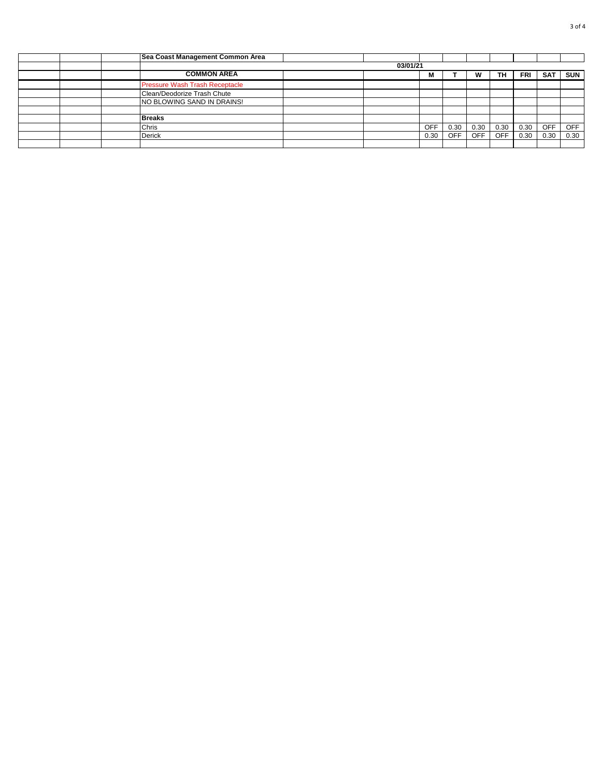|  | Sea Coast Management Common Area  |  |  |            |      |            |            |            |            |            |  |
|--|-----------------------------------|--|--|------------|------|------------|------------|------------|------------|------------|--|
|  | 03/01/21                          |  |  |            |      |            |            |            |            |            |  |
|  | <b>COMMON AREA</b>                |  |  | M          |      |            | TН         | <b>FRI</b> | <b>SAT</b> | <b>SUN</b> |  |
|  | Pressure Wash Trash Receptacle    |  |  |            |      |            |            |            |            |            |  |
|  | Clean/Deodorize Trash Chute       |  |  |            |      |            |            |            |            |            |  |
|  | <b>NO BLOWING SAND IN DRAINS!</b> |  |  |            |      |            |            |            |            |            |  |
|  |                                   |  |  |            |      |            |            |            |            |            |  |
|  | <b>Breaks</b>                     |  |  |            |      |            |            |            |            |            |  |
|  | Chris                             |  |  | <b>OFF</b> | 0.30 | 0.30       | 0.30       | 0.30       | <b>OFF</b> | <b>OFF</b> |  |
|  | <b>Derick</b>                     |  |  | 0.30       | OFF. | <b>OFF</b> | <b>OFF</b> | 0.30       | 0.30       | 0.30       |  |
|  |                                   |  |  |            |      |            |            |            |            |            |  |